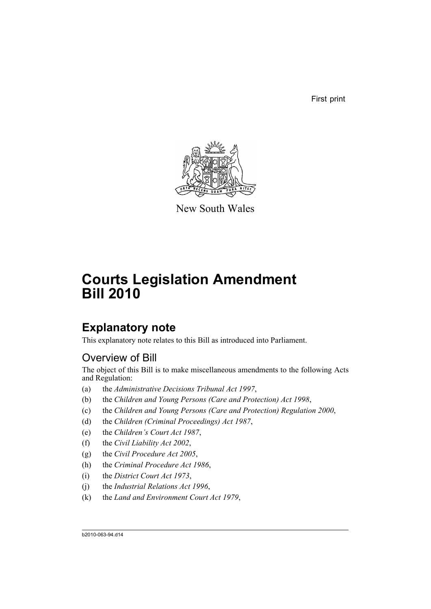First print



New South Wales

# **Courts Legislation Amendment Bill 2010**

# **Explanatory note**

This explanatory note relates to this Bill as introduced into Parliament.

# Overview of Bill

The object of this Bill is to make miscellaneous amendments to the following Acts and Regulation:

- (a) the *Administrative Decisions Tribunal Act 1997*,
- (b) the *Children and Young Persons (Care and Protection) Act 1998*,
- (c) the *Children and Young Persons (Care and Protection) Regulation 2000*,
- (d) the *Children (Criminal Proceedings) Act 1987*,
- (e) the *Children's Court Act 1987*,
- (f) the *Civil Liability Act 2002*,
- (g) the *Civil Procedure Act 2005*,
- (h) the *Criminal Procedure Act 1986*,
- (i) the *District Court Act 1973*,
- (j) the *Industrial Relations Act 1996*,
- (k) the *Land and Environment Court Act 1979*,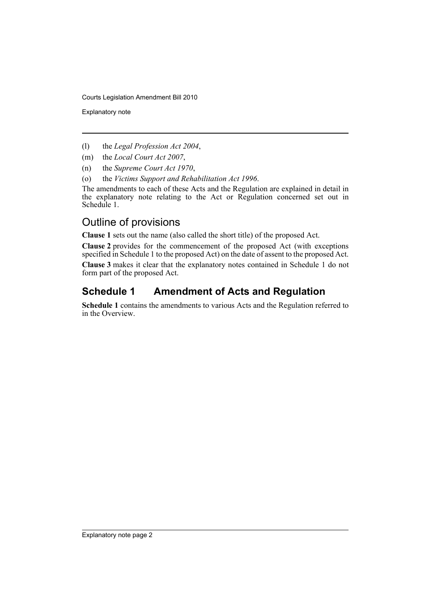Explanatory note

- (l) the *Legal Profession Act 2004*,
- (m) the *Local Court Act 2007*,
- (n) the *Supreme Court Act 1970*,
- (o) the *Victims Support and Rehabilitation Act 1996*.

The amendments to each of these Acts and the Regulation are explained in detail in the explanatory note relating to the Act or Regulation concerned set out in Schedule 1.

# Outline of provisions

**Clause 1** sets out the name (also called the short title) of the proposed Act.

**Clause 2** provides for the commencement of the proposed Act (with exceptions specified in Schedule 1 to the proposed Act) on the date of assent to the proposed Act.

**Clause 3** makes it clear that the explanatory notes contained in Schedule 1 do not form part of the proposed Act.

# **Schedule 1 Amendment of Acts and Regulation**

**Schedule 1** contains the amendments to various Acts and the Regulation referred to in the Overview.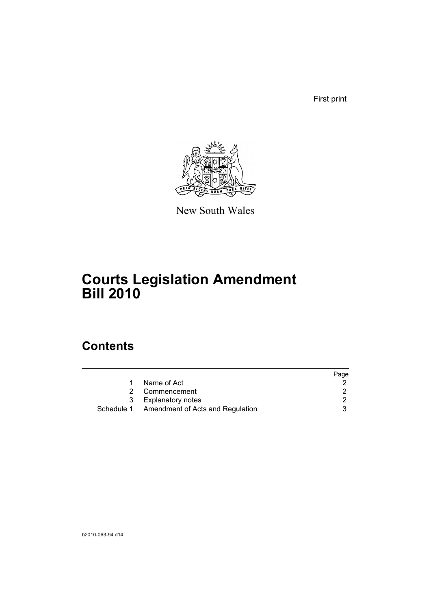First print



New South Wales

# **Courts Legislation Amendment Bill 2010**

# **Contents**

|   |                                             | Page |
|---|---------------------------------------------|------|
|   | Name of Act                                 |      |
|   | Commencement                                |      |
| 3 | Explanatory notes                           |      |
|   | Schedule 1 Amendment of Acts and Regulation |      |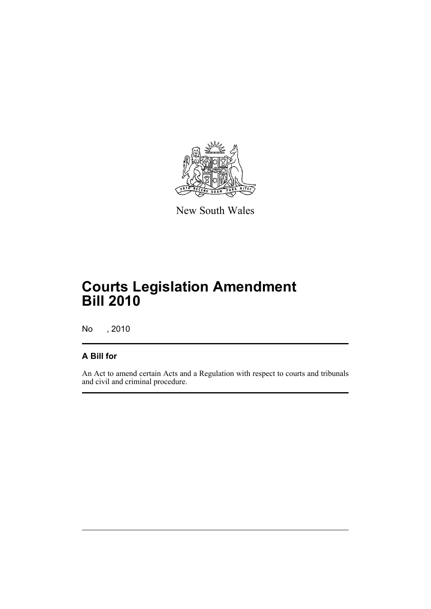

New South Wales

# **Courts Legislation Amendment Bill 2010**

No , 2010

# **A Bill for**

An Act to amend certain Acts and a Regulation with respect to courts and tribunals and civil and criminal procedure.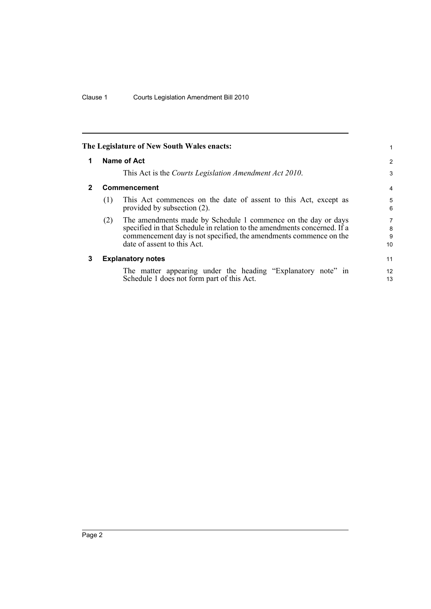<span id="page-5-2"></span><span id="page-5-1"></span><span id="page-5-0"></span>

|              |             | The Legislature of New South Wales enacts:                                                                                                                                                                                                    |                   |  |  |  |
|--------------|-------------|-----------------------------------------------------------------------------------------------------------------------------------------------------------------------------------------------------------------------------------------------|-------------------|--|--|--|
| 1            | Name of Act |                                                                                                                                                                                                                                               |                   |  |  |  |
|              |             | This Act is the Courts Legislation Amendment Act 2010.                                                                                                                                                                                        | 3                 |  |  |  |
| $\mathbf{2}$ |             | <b>Commencement</b>                                                                                                                                                                                                                           | 4                 |  |  |  |
|              | (1)         | This Act commences on the date of assent to this Act, except as<br>provided by subsection (2).                                                                                                                                                | 5<br>6            |  |  |  |
|              | (2)         | The amendments made by Schedule 1 commence on the day or days<br>specified in that Schedule in relation to the amendments concerned. If a<br>commencement day is not specified, the amendments commence on the<br>date of assent to this Act. | 7<br>8<br>9<br>10 |  |  |  |
| 3            |             | <b>Explanatory notes</b>                                                                                                                                                                                                                      | 11                |  |  |  |
|              |             | The matter appearing under the heading "Explanatory note" in<br>Schedule 1 does not form part of this Act.                                                                                                                                    | 12<br>13          |  |  |  |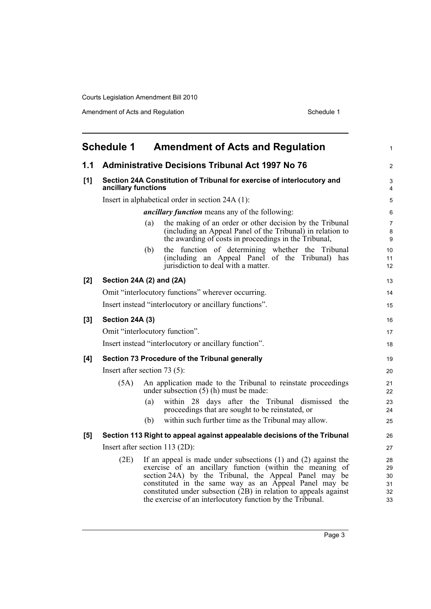<span id="page-6-0"></span>

|       | <b>Schedule 1</b>   | <b>Amendment of Acts and Regulation</b>                                                                                                                                                                                                                                                                                                                                            | $\mathbf{1}$                     |
|-------|---------------------|------------------------------------------------------------------------------------------------------------------------------------------------------------------------------------------------------------------------------------------------------------------------------------------------------------------------------------------------------------------------------------|----------------------------------|
| 1.1   |                     | <b>Administrative Decisions Tribunal Act 1997 No 76</b>                                                                                                                                                                                                                                                                                                                            | $\overline{2}$                   |
| [1]   | ancillary functions | Section 24A Constitution of Tribunal for exercise of interlocutory and                                                                                                                                                                                                                                                                                                             | 3<br>4                           |
|       |                     | Insert in alphabetical order in section 24A (1):                                                                                                                                                                                                                                                                                                                                   | 5                                |
|       |                     | <i>ancillary function</i> means any of the following:                                                                                                                                                                                                                                                                                                                              | 6                                |
|       |                     | the making of an order or other decision by the Tribunal<br>(a)<br>(including an Appeal Panel of the Tribunal) in relation to<br>the awarding of costs in proceedings in the Tribunal,                                                                                                                                                                                             | 7<br>8<br>9                      |
|       |                     | the function of determining whether the Tribunal<br>(b)<br>(including an Appeal Panel of the Tribunal) has<br>jurisdiction to deal with a matter.                                                                                                                                                                                                                                  | 10<br>11<br>12                   |
| [2]   |                     | Section 24A (2) and (2A)                                                                                                                                                                                                                                                                                                                                                           | 13                               |
|       |                     | Omit "interlocutory functions" wherever occurring.                                                                                                                                                                                                                                                                                                                                 | 14                               |
|       |                     | Insert instead "interlocutory or ancillary functions".                                                                                                                                                                                                                                                                                                                             | 15                               |
| $[3]$ | Section 24A (3)     |                                                                                                                                                                                                                                                                                                                                                                                    | 16                               |
|       |                     | Omit "interlocutory function".                                                                                                                                                                                                                                                                                                                                                     | 17                               |
|       |                     | Insert instead "interlocutory or ancillary function".                                                                                                                                                                                                                                                                                                                              | 18                               |
| [4]   |                     | Section 73 Procedure of the Tribunal generally                                                                                                                                                                                                                                                                                                                                     | 19                               |
|       |                     | Insert after section $73(5)$ :                                                                                                                                                                                                                                                                                                                                                     | 20                               |
|       | (5A)                | An application made to the Tribunal to reinstate proceedings<br>under subsection $(5)$ (h) must be made:                                                                                                                                                                                                                                                                           | 21<br>22                         |
|       |                     | within 28 days after the Tribunal dismissed the<br>(a)<br>proceedings that are sought to be reinstated, or                                                                                                                                                                                                                                                                         | 23<br>24                         |
|       |                     | within such further time as the Tribunal may allow.<br>(b)                                                                                                                                                                                                                                                                                                                         | 25                               |
| [5]   |                     | Section 113 Right to appeal against appealable decisions of the Tribunal                                                                                                                                                                                                                                                                                                           | 26                               |
|       |                     | Insert after section 113 (2D):                                                                                                                                                                                                                                                                                                                                                     | 27                               |
|       | (2E)                | If an appeal is made under subsections $(1)$ and $(2)$ against the<br>exercise of an ancillary function (within the meaning of<br>section 24A) by the Tribunal, the Appeal Panel may be<br>constituted in the same way as an Appeal Panel may be<br>constituted under subsection (2B) in relation to appeals against<br>the exercise of an interlocutory function by the Tribunal. | 28<br>29<br>30<br>31<br>32<br>33 |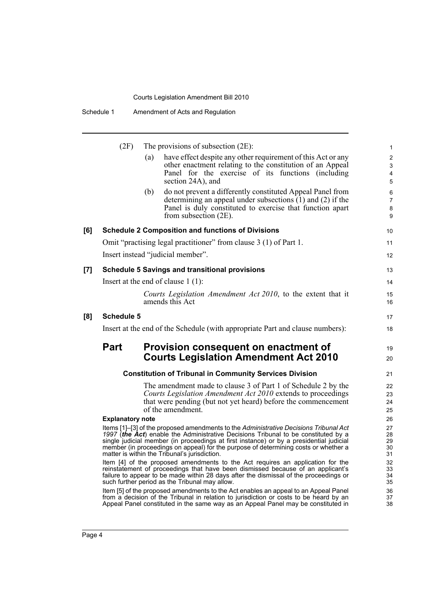| (2F) |  | The provisions of subsection $(2E)$ : |  |  |
|------|--|---------------------------------------|--|--|
|------|--|---------------------------------------|--|--|

|     | (2F)                    |     | The provisions of subsection $(2E)$ :                                                                                                                                                                                                                                                                                                                                                                          | $\mathbf{1}$                  |
|-----|-------------------------|-----|----------------------------------------------------------------------------------------------------------------------------------------------------------------------------------------------------------------------------------------------------------------------------------------------------------------------------------------------------------------------------------------------------------------|-------------------------------|
|     |                         | (a) | have effect despite any other requirement of this Act or any<br>other enactment relating to the constitution of an Appeal<br>Panel for the exercise of its functions (including<br>section 24A), and                                                                                                                                                                                                           | $\overline{2}$<br>3<br>4<br>5 |
|     |                         | (b) | do not prevent a differently constituted Appeal Panel from<br>determining an appeal under subsections $(1)$ and $(2)$ if the<br>Panel is duly constituted to exercise that function apart<br>from subsection $(2E)$ .                                                                                                                                                                                          | 6<br>$\overline{7}$<br>8<br>9 |
| [6] |                         |     | <b>Schedule 2 Composition and functions of Divisions</b>                                                                                                                                                                                                                                                                                                                                                       | 10                            |
|     |                         |     | Omit "practising legal practitioner" from clause 3 (1) of Part 1.                                                                                                                                                                                                                                                                                                                                              | 11                            |
|     |                         |     | Insert instead "judicial member".                                                                                                                                                                                                                                                                                                                                                                              | $12 \overline{ }$             |
| [7] |                         |     | <b>Schedule 5 Savings and transitional provisions</b>                                                                                                                                                                                                                                                                                                                                                          | 13                            |
|     |                         |     | Insert at the end of clause $1(1)$ :                                                                                                                                                                                                                                                                                                                                                                           | 14                            |
|     |                         |     | Courts Legislation Amendment Act 2010, to the extent that it<br>amends this Act                                                                                                                                                                                                                                                                                                                                | 15<br>16                      |
| [8] | <b>Schedule 5</b>       |     |                                                                                                                                                                                                                                                                                                                                                                                                                | 17                            |
|     |                         |     | Insert at the end of the Schedule (with appropriate Part and clause numbers):                                                                                                                                                                                                                                                                                                                                  | 18                            |
|     | <b>Part</b>             |     | Provision consequent on enactment of<br><b>Courts Legislation Amendment Act 2010</b>                                                                                                                                                                                                                                                                                                                           | 19<br>20                      |
|     |                         |     | <b>Constitution of Tribunal in Community Services Division</b>                                                                                                                                                                                                                                                                                                                                                 | 21                            |
|     |                         |     | The amendment made to clause 3 of Part 1 of Schedule 2 by the<br>Courts Legislation Amendment Act 2010 extends to proceedings<br>that were pending (but not yet heard) before the commencement<br>of the amendment.                                                                                                                                                                                            | 22<br>23<br>24<br>25          |
|     | <b>Explanatory note</b> |     |                                                                                                                                                                                                                                                                                                                                                                                                                | 26                            |
|     |                         |     | Items [1]-[3] of the proposed amendments to the Administrative Decisions Tribunal Act<br>1997 (the Act) enable the Administrative Decisions Tribunal to be constituted by a<br>single judicial member (in proceedings at first instance) or by a presidential judicial<br>member (in proceedings on appeal) for the purpose of determining costs or whether a<br>matter is within the Tribunal's jurisdiction. | 27<br>28<br>29<br>30<br>31    |
|     |                         |     | Item [4] of the proposed amendments to the Act requires an application for the<br>reinstatement of proceedings that have been dismissed because of an applicant's<br>failure to appear to be made within 28 days after the dismissal of the proceedings or<br>such further period as the Tribunal may allow.                                                                                                   | 32<br>33<br>34<br>35          |
|     |                         |     | Item [5] of the proposed amendments to the Act enables an appeal to an Appeal Panel                                                                                                                                                                                                                                                                                                                            | 36                            |

38

from a decision of the Tribunal in relation to jurisdiction or costs to be heard by an Appeal Panel constituted in the same way as an Appeal Panel may be constituted in

**[8]**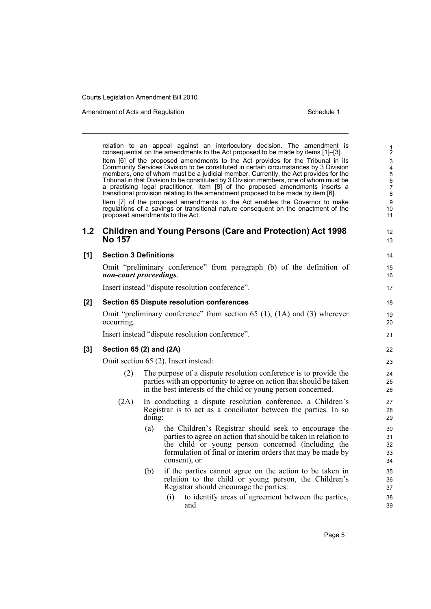Amendment of Acts and Regulation Schedule 1

relation to an appeal against an interlocutory decision. The amendment is consequential on the amendments to the Act proposed to be made by items [1]–[3]. Item [6] of the proposed amendments to the Act provides for the Tribunal in its Community Services Division to be constituted in certain circumstances by 3 Division members, one of whom must be a judicial member. Currently, the Act provides for the Tribunal in that Division to be constituted by 3 Division members, one of whom must be a practising legal practitioner. Item [8] of the proposed amendments inserts a transitional provision relating to the amendment proposed to be made by item [6]. Item [7] of the proposed amendments to the Act enables the Governor to make regulations of a savings or transitional nature consequent on the enactment of the proposed amendments to the Act. **1.2 Children and Young Persons (Care and Protection) Act 1998 No 157 [1] Section 3 Definitions** Omit "preliminary conference" from paragraph (b) of the definition of *non-court proceedings*. Insert instead "dispute resolution conference". **[2] Section 65 Dispute resolution conferences** Omit "preliminary conference" from section 65 (1), (1A) and (3) wherever occurring. Insert instead "dispute resolution conference". **[3] Section 65 (2) and (2A)** Omit section 65 (2). Insert instead: (2) The purpose of a dispute resolution conference is to provide the parties with an opportunity to agree on action that should be taken in the best interests of the child or young person concerned. (2A) In conducting a dispute resolution conference, a Children's Registrar is to act as a conciliator between the parties. In so doing: (a) the Children's Registrar should seek to encourage the parties to agree on action that should be taken in relation to the child or young person concerned (including the formulation of final or interim orders that may be made by consent), or (b) if the parties cannot agree on the action to be taken in relation to the child or young person, the Children's Registrar should encourage the parties: (i) to identify areas of agreement between the parties, and 1 2 3 4 5 6 7 8 9 10 11 12 13 14 15 16 17 18 19 20 21 22 23 24 25 26 27 28 29 30 31 32 33 34 35 36 37 38 39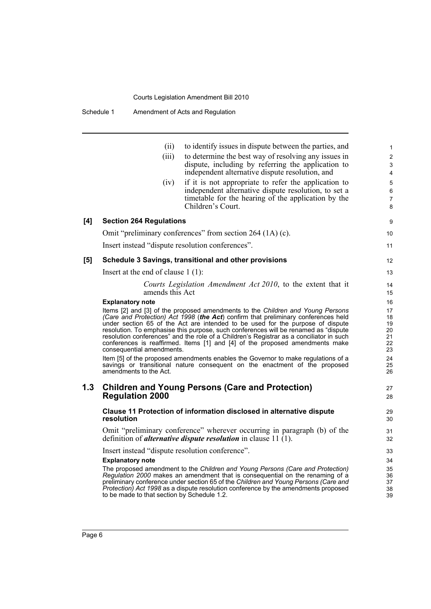|     | (ii)                                                                   | to identify issues in dispute between the parties, and                                                                                                                                                                                                                                                                                                                                                                                                                                                                                                                                                                                                                                      |  |
|-----|------------------------------------------------------------------------|---------------------------------------------------------------------------------------------------------------------------------------------------------------------------------------------------------------------------------------------------------------------------------------------------------------------------------------------------------------------------------------------------------------------------------------------------------------------------------------------------------------------------------------------------------------------------------------------------------------------------------------------------------------------------------------------|--|
|     | (iii)                                                                  | to determine the best way of resolving any issues in<br>dispute, including by referring the application to<br>independent alternative dispute resolution, and                                                                                                                                                                                                                                                                                                                                                                                                                                                                                                                               |  |
|     | (iv)                                                                   | if it is not appropriate to refer the application to<br>independent alternative dispute resolution, to set a<br>timetable for the hearing of the application by the<br>Children's Court.                                                                                                                                                                                                                                                                                                                                                                                                                                                                                                    |  |
| [4] | <b>Section 264 Regulations</b>                                         |                                                                                                                                                                                                                                                                                                                                                                                                                                                                                                                                                                                                                                                                                             |  |
|     |                                                                        | Omit "preliminary conferences" from section 264 (1A) (c).                                                                                                                                                                                                                                                                                                                                                                                                                                                                                                                                                                                                                                   |  |
|     | Insert instead "dispute resolution conferences".                       |                                                                                                                                                                                                                                                                                                                                                                                                                                                                                                                                                                                                                                                                                             |  |
| [5] |                                                                        | Schedule 3 Savings, transitional and other provisions                                                                                                                                                                                                                                                                                                                                                                                                                                                                                                                                                                                                                                       |  |
|     | Insert at the end of clause $1(1)$ :                                   |                                                                                                                                                                                                                                                                                                                                                                                                                                                                                                                                                                                                                                                                                             |  |
|     | amends this Act                                                        | Courts Legislation Amendment Act 2010, to the extent that it                                                                                                                                                                                                                                                                                                                                                                                                                                                                                                                                                                                                                                |  |
|     | consequential amendments.<br>amendments to the Act.                    | Items [2] and [3] of the proposed amendments to the Children and Young Persons<br>(Care and Protection) Act 1998 (the Act) confirm that preliminary conferences held<br>under section 65 of the Act are intended to be used for the purpose of dispute<br>resolution. To emphasise this purpose, such conferences will be renamed as "dispute<br>resolution conferences" and the role of a Children's Registrar as a conciliator in such<br>conferences is reaffirmed. Items [1] and [4] of the proposed amendments make<br>Item [5] of the proposed amendments enables the Governor to make regulations of a<br>savings or transitional nature consequent on the enactment of the proposed |  |
| 1.3 | <b>Regulation 2000</b>                                                 | <b>Children and Young Persons (Care and Protection)</b>                                                                                                                                                                                                                                                                                                                                                                                                                                                                                                                                                                                                                                     |  |
|     | resolution                                                             | Clause 11 Protection of information disclosed in alternative dispute                                                                                                                                                                                                                                                                                                                                                                                                                                                                                                                                                                                                                        |  |
|     |                                                                        | Omit "preliminary conference" wherever occurring in paragraph (b) of the<br>definition of <i>alternative dispute resolution</i> in clause 11 (1).                                                                                                                                                                                                                                                                                                                                                                                                                                                                                                                                           |  |
|     | Insert instead "dispute resolution conference".                        |                                                                                                                                                                                                                                                                                                                                                                                                                                                                                                                                                                                                                                                                                             |  |
|     | <b>Explanatory note</b><br>to be made to that section by Schedule 1.2. | The proposed amendment to the Children and Young Persons (Care and Protection)<br>Regulation 2000 makes an amendment that is consequential on the renaming of a<br>preliminary conference under section 65 of the Children and Young Persons (Care and<br><i>Protection</i> ) Act 1998 as a dispute resolution conference by the amendments proposed                                                                                                                                                                                                                                                                                                                                        |  |
|     |                                                                        |                                                                                                                                                                                                                                                                                                                                                                                                                                                                                                                                                                                                                                                                                             |  |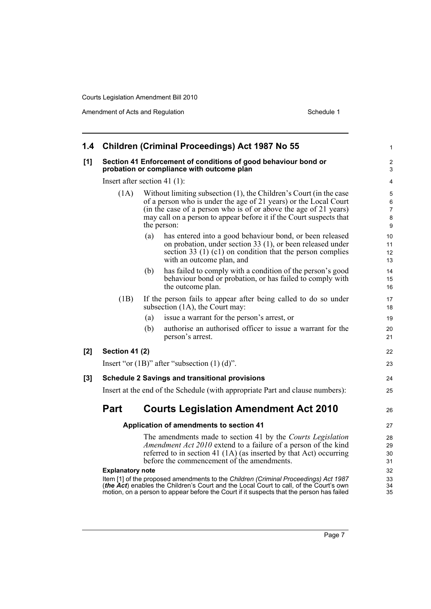| 1.4 |                                                                                                                                                                                                                                                                                                          |     | Children (Criminal Proceedings) Act 1987 No 55                                                                                                                                                                                                    | $\mathbf{1}$         |  |
|-----|----------------------------------------------------------------------------------------------------------------------------------------------------------------------------------------------------------------------------------------------------------------------------------------------------------|-----|---------------------------------------------------------------------------------------------------------------------------------------------------------------------------------------------------------------------------------------------------|----------------------|--|
| [1] |                                                                                                                                                                                                                                                                                                          |     | Section 41 Enforcement of conditions of good behaviour bond or<br>probation or compliance with outcome plan                                                                                                                                       | 2<br>3               |  |
|     | Insert after section 41 $(1)$ :                                                                                                                                                                                                                                                                          |     |                                                                                                                                                                                                                                                   | 4                    |  |
|     | Without limiting subsection (1), the Children's Court (in the case<br>(1A)<br>of a person who is under the age of 21 years) or the Local Court<br>(in the case of a person who is of or above the age of 21 years)<br>may call on a person to appear before it if the Court suspects that<br>the person: |     |                                                                                                                                                                                                                                                   |                      |  |
|     |                                                                                                                                                                                                                                                                                                          | (a) | has entered into a good behaviour bond, or been released<br>on probation, under section 33 (1), or been released under<br>section 33 $(1)$ $(c1)$ on condition that the person complies<br>with an outcome plan, and                              | 10<br>11<br>12<br>13 |  |
|     |                                                                                                                                                                                                                                                                                                          | (b) | has failed to comply with a condition of the person's good<br>behaviour bond or probation, or has failed to comply with<br>the outcome plan.                                                                                                      | 14<br>15<br>16       |  |
|     | (1B)                                                                                                                                                                                                                                                                                                     |     | If the person fails to appear after being called to do so under<br>subsection (1A), the Court may:                                                                                                                                                | 17<br>18             |  |
|     |                                                                                                                                                                                                                                                                                                          | (a) | issue a warrant for the person's arrest, or                                                                                                                                                                                                       | 19                   |  |
|     |                                                                                                                                                                                                                                                                                                          | (b) | authorise an authorised officer to issue a warrant for the<br>person's arrest.                                                                                                                                                                    | 20<br>21             |  |
| [2] | <b>Section 41 (2)</b>                                                                                                                                                                                                                                                                                    |     |                                                                                                                                                                                                                                                   | 22                   |  |
|     |                                                                                                                                                                                                                                                                                                          |     | Insert "or $(1B)$ " after "subsection $(1)$ $(d)$ ".                                                                                                                                                                                              | 23                   |  |
| [3] |                                                                                                                                                                                                                                                                                                          |     | <b>Schedule 2 Savings and transitional provisions</b>                                                                                                                                                                                             | 24                   |  |
|     |                                                                                                                                                                                                                                                                                                          |     | Insert at the end of the Schedule (with appropriate Part and clause numbers):                                                                                                                                                                     | 25                   |  |
|     | Part                                                                                                                                                                                                                                                                                                     |     | <b>Courts Legislation Amendment Act 2010</b>                                                                                                                                                                                                      | 26                   |  |
|     |                                                                                                                                                                                                                                                                                                          |     | Application of amendments to section 41                                                                                                                                                                                                           | 27                   |  |
|     |                                                                                                                                                                                                                                                                                                          |     | The amendments made to section 41 by the Courts Legislation<br>Amendment Act 2010 extend to a failure of a person of the kind<br>referred to in section 41 (1A) (as inserted by that Act) occurring<br>before the commencement of the amendments. | 28<br>29<br>30<br>31 |  |
|     | <b>Explanatory note</b>                                                                                                                                                                                                                                                                                  |     | Item [1] of the proposed amendments to the Children (Criminal Proceedings) Act 1987                                                                                                                                                               | 32<br>33             |  |
|     |                                                                                                                                                                                                                                                                                                          |     | (the Act) enables the Children's Court and the Local Court to call, of the Court's own<br>motion, on a person to appear before the Court if it suspects that the person has failed                                                                | 34<br>35             |  |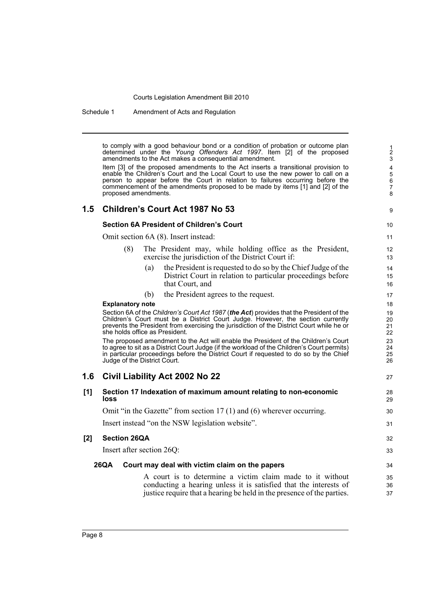Schedule 1 Amendment of Acts and Regulation

to comply with a good behaviour bond or a condition of probation or outcome plan determined under the *Young Offenders Act 1997*. Item [2] of the proposed amendments to the Act makes a consequential amendment.

9

27

Item [3] of the proposed amendments to the Act inserts a transitional provision to enable the Children's Court and the Local Court to use the new power to call on a person to appear before the Court in relation to failures occurring before the commencement of the amendments proposed to be made by items [1] and [2] of the proposed amendments.

## **1.5 Children's Court Act 1987 No 53**

### **Section 6A President of Children's Court**

Omit section 6A (8). Insert instead:

- (8) The President may, while holding office as the President, exercise the jurisdiction of the District Court if:
	- (a) the President is requested to do so by the Chief Judge of the District Court in relation to particular proceedings before that Court, and
	- (b) the President agrees to the request.

#### **Explanatory note**

Section 6A of the *Children's Court Act 1987* (*the Act*) provides that the President of the Children's Court must be a District Court Judge. However, the section currently prevents the President from exercising the jurisdiction of the District Court while he or she holds office as President.

The proposed amendment to the Act will enable the President of the Children's Court to agree to sit as a District Court Judge (if the workload of the Children's Court permits) in particular proceedings before the District Court if requested to do so by the Chief Judge of the District Court.

## **1.6 Civil Liability Act 2002 No 22**

| [1] | Section 17 Indexation of maximum amount relating to non-economic<br>loss |                                                                                                                                                                                                          |                |  |
|-----|--------------------------------------------------------------------------|----------------------------------------------------------------------------------------------------------------------------------------------------------------------------------------------------------|----------------|--|
|     |                                                                          | Omit "in the Gazette" from section $17(1)$ and (6) wherever occurring.                                                                                                                                   | 30             |  |
|     |                                                                          | Insert instead "on the NSW legislation website".                                                                                                                                                         | 31             |  |
| [2] | <b>Section 26QA</b>                                                      |                                                                                                                                                                                                          |                |  |
|     |                                                                          | Insert after section 26Q:                                                                                                                                                                                | 33             |  |
|     | 26QA                                                                     | Court may deal with victim claim on the papers                                                                                                                                                           | 34             |  |
|     |                                                                          | A court is to determine a victim claim made to it without<br>conducting a hearing unless it is satisfied that the interests of<br>justice require that a hearing be held in the presence of the parties. | 35<br>36<br>37 |  |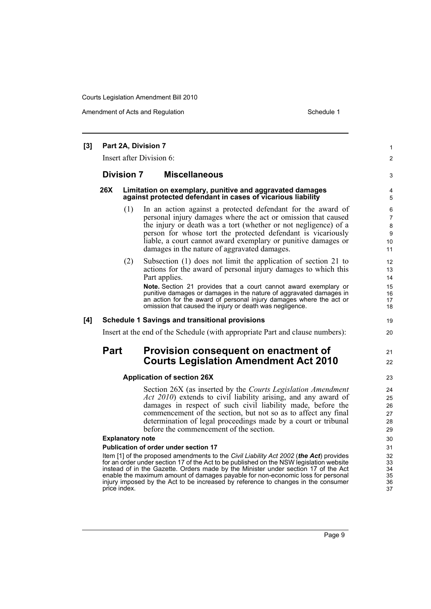Amendment of Acts and Regulation Schedule 1

| [3] | Part 2A, Division 7                                                                                 |                                         |                                                                                                                                                                                                                                                                                                                                                                                                                                                                                                                                                                                                                                                                                                                                                                                                                                                                                 |                                                                                  |  |  |
|-----|-----------------------------------------------------------------------------------------------------|-----------------------------------------|---------------------------------------------------------------------------------------------------------------------------------------------------------------------------------------------------------------------------------------------------------------------------------------------------------------------------------------------------------------------------------------------------------------------------------------------------------------------------------------------------------------------------------------------------------------------------------------------------------------------------------------------------------------------------------------------------------------------------------------------------------------------------------------------------------------------------------------------------------------------------------|----------------------------------------------------------------------------------|--|--|
|     | Insert after Division 6:                                                                            |                                         |                                                                                                                                                                                                                                                                                                                                                                                                                                                                                                                                                                                                                                                                                                                                                                                                                                                                                 |                                                                                  |  |  |
|     |                                                                                                     | <b>Division 7</b>                       | <b>Miscellaneous</b>                                                                                                                                                                                                                                                                                                                                                                                                                                                                                                                                                                                                                                                                                                                                                                                                                                                            | 3                                                                                |  |  |
|     | 26X                                                                                                 |                                         | Limitation on exemplary, punitive and aggravated damages<br>against protected defendant in cases of vicarious liability                                                                                                                                                                                                                                                                                                                                                                                                                                                                                                                                                                                                                                                                                                                                                         | 4<br>5                                                                           |  |  |
|     |                                                                                                     | (1)                                     | In an action against a protected defendant for the award of<br>personal injury damages where the act or omission that caused<br>the injury or death was a tort (whether or not negligence) of a<br>person for whose tort the protected defendant is vicariously<br>liable, a court cannot award exemplary or punitive damages or<br>damages in the nature of aggravated damages.                                                                                                                                                                                                                                                                                                                                                                                                                                                                                                | 6<br>$\overline{7}$<br>8<br>9<br>10<br>11                                        |  |  |
|     |                                                                                                     | (2)                                     | Subsection (1) does not limit the application of section 21 to<br>actions for the award of personal injury damages to which this<br>Part applies.                                                                                                                                                                                                                                                                                                                                                                                                                                                                                                                                                                                                                                                                                                                               | 12<br>13<br>14                                                                   |  |  |
|     |                                                                                                     |                                         | Note. Section 21 provides that a court cannot award exemplary or<br>punitive damages or damages in the nature of aggravated damages in<br>an action for the award of personal injury damages where the act or<br>omission that caused the injury or death was negligence.                                                                                                                                                                                                                                                                                                                                                                                                                                                                                                                                                                                                       | 15<br>16<br>17<br>18                                                             |  |  |
| [4] |                                                                                                     |                                         | <b>Schedule 1 Savings and transitional provisions</b>                                                                                                                                                                                                                                                                                                                                                                                                                                                                                                                                                                                                                                                                                                                                                                                                                           | 19                                                                               |  |  |
|     | Insert at the end of the Schedule (with appropriate Part and clause numbers):                       |                                         |                                                                                                                                                                                                                                                                                                                                                                                                                                                                                                                                                                                                                                                                                                                                                                                                                                                                                 | 20                                                                               |  |  |
|     | <b>Part</b><br>Provision consequent on enactment of<br><b>Courts Legislation Amendment Act 2010</b> |                                         |                                                                                                                                                                                                                                                                                                                                                                                                                                                                                                                                                                                                                                                                                                                                                                                                                                                                                 | 21<br>22                                                                         |  |  |
|     |                                                                                                     |                                         | <b>Application of section 26X</b>                                                                                                                                                                                                                                                                                                                                                                                                                                                                                                                                                                                                                                                                                                                                                                                                                                               | 23                                                                               |  |  |
|     |                                                                                                     | <b>Explanatory note</b><br>price index. | Section 26X (as inserted by the Courts Legislation Amendment<br>Act 2010) extends to civil liability arising, and any award of<br>damages in respect of such civil liability made, before the<br>commencement of the section, but not so as to affect any final<br>determination of legal proceedings made by a court or tribunal<br>before the commencement of the section.<br><b>Publication of order under section 17</b><br>Item [1] of the proposed amendments to the Civil Liability Act 2002 (the Act) provides<br>for an order under section 17 of the Act to be published on the NSW legislation website<br>instead of in the Gazette. Orders made by the Minister under section 17 of the Act<br>enable the maximum amount of damages payable for non-economic loss for personal<br>injury imposed by the Act to be increased by reference to changes in the consumer | 24<br>25<br>26<br>27<br>28<br>29<br>30<br>31<br>32<br>33<br>34<br>35<br>36<br>37 |  |  |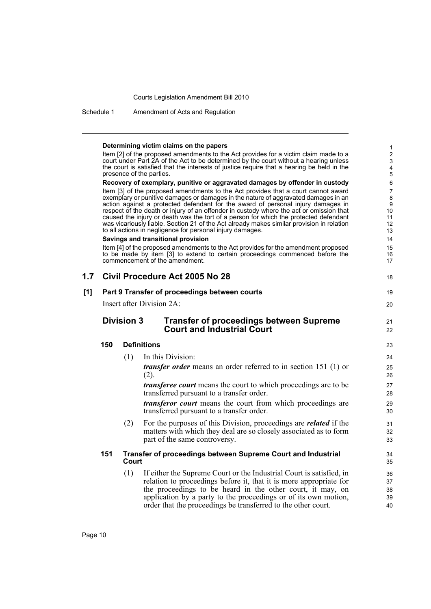Schedule 1 Amendment of Acts and Regulation

|     |                                                                                                                                                                                     |       | Determining victim claims on the papers                                                                                                                                            | 1<br>$\overline{c}$ |  |  |  |
|-----|-------------------------------------------------------------------------------------------------------------------------------------------------------------------------------------|-------|------------------------------------------------------------------------------------------------------------------------------------------------------------------------------------|---------------------|--|--|--|
|     | Item [2] of the proposed amendments to the Act provides for a victim claim made to a                                                                                                |       |                                                                                                                                                                                    |                     |  |  |  |
|     | court under Part 2A of the Act to be determined by the court without a hearing unless<br>the court is satisfied that the interests of justice require that a hearing be held in the |       |                                                                                                                                                                                    |                     |  |  |  |
|     | presence of the parties.                                                                                                                                                            |       |                                                                                                                                                                                    |                     |  |  |  |
|     |                                                                                                                                                                                     |       | Recovery of exemplary, punitive or aggravated damages by offender in custody                                                                                                       | 6                   |  |  |  |
|     |                                                                                                                                                                                     |       | Item [3] of the proposed amendments to the Act provides that a court cannot award<br>exemplary or punitive damages or damages in the nature of aggravated damages in an            | 7<br>8              |  |  |  |
|     |                                                                                                                                                                                     |       | action against a protected defendant for the award of personal injury damages in                                                                                                   | 9                   |  |  |  |
|     |                                                                                                                                                                                     |       | respect of the death or injury of an offender in custody where the act or omission that                                                                                            | 10                  |  |  |  |
|     |                                                                                                                                                                                     |       | caused the injury or death was the tort of a person for which the protected defendant<br>was vicariously liable. Section 21 of the Act already makes similar provision in relation | 11<br>12            |  |  |  |
|     |                                                                                                                                                                                     |       | to all actions in negligence for personal injury damages.                                                                                                                          | 13                  |  |  |  |
|     |                                                                                                                                                                                     |       | Savings and transitional provision                                                                                                                                                 | 14                  |  |  |  |
|     |                                                                                                                                                                                     |       | Item [4] of the proposed amendments to the Act provides for the amendment proposed<br>to be made by item [3] to extend to certain proceedings commenced before the                 | 15<br>16            |  |  |  |
|     |                                                                                                                                                                                     |       | commencement of the amendment.                                                                                                                                                     | 17                  |  |  |  |
|     |                                                                                                                                                                                     |       |                                                                                                                                                                                    |                     |  |  |  |
| 1.7 |                                                                                                                                                                                     |       | Civil Procedure Act 2005 No 28                                                                                                                                                     | 18                  |  |  |  |
| [1] |                                                                                                                                                                                     |       | Part 9 Transfer of proceedings between courts                                                                                                                                      | 19                  |  |  |  |
|     |                                                                                                                                                                                     |       | Insert after Division 2A:                                                                                                                                                          | 20                  |  |  |  |
|     | <b>Division 3</b>                                                                                                                                                                   |       |                                                                                                                                                                                    |                     |  |  |  |
|     |                                                                                                                                                                                     |       | <b>Transfer of proceedings between Supreme</b><br><b>Court and Industrial Court</b>                                                                                                | 21<br>22            |  |  |  |
|     | 150                                                                                                                                                                                 |       | <b>Definitions</b>                                                                                                                                                                 | 23                  |  |  |  |
|     |                                                                                                                                                                                     | (1)   | In this Division:                                                                                                                                                                  | 24                  |  |  |  |
|     |                                                                                                                                                                                     |       | <i>transfer order</i> means an order referred to in section 151 (1) or<br>(2).                                                                                                     | 25<br>26            |  |  |  |
|     |                                                                                                                                                                                     |       | <i>transferee court</i> means the court to which proceedings are to be<br>transferred pursuant to a transfer order.                                                                | 27<br>28            |  |  |  |
|     |                                                                                                                                                                                     |       | <i>transferor court</i> means the court from which proceedings are<br>transferred pursuant to a transfer order.                                                                    | 29<br>30            |  |  |  |
|     |                                                                                                                                                                                     | (2)   | For the purposes of this Division, proceedings are <i>related</i> if the                                                                                                           | 31                  |  |  |  |
|     |                                                                                                                                                                                     |       | matters with which they deal are so closely associated as to form                                                                                                                  | 32                  |  |  |  |
|     |                                                                                                                                                                                     |       | part of the same controversy.                                                                                                                                                      | 33                  |  |  |  |
|     | 151                                                                                                                                                                                 | Court | Transfer of proceedings between Supreme Court and Industrial                                                                                                                       | 34<br>35            |  |  |  |
|     |                                                                                                                                                                                     | (1)   | If either the Supreme Court or the Industrial Court is satisfied, in                                                                                                               | 36                  |  |  |  |
|     |                                                                                                                                                                                     |       | relation to proceedings before it, that it is more appropriate for                                                                                                                 | 37                  |  |  |  |
|     |                                                                                                                                                                                     |       | the proceedings to be heard in the other court, it may, on                                                                                                                         | 38                  |  |  |  |
|     |                                                                                                                                                                                     |       | application by a party to the proceedings or of its own motion,<br>order that the proceedings be transferred to the other court.                                                   | 39<br>40            |  |  |  |
|     |                                                                                                                                                                                     |       |                                                                                                                                                                                    |                     |  |  |  |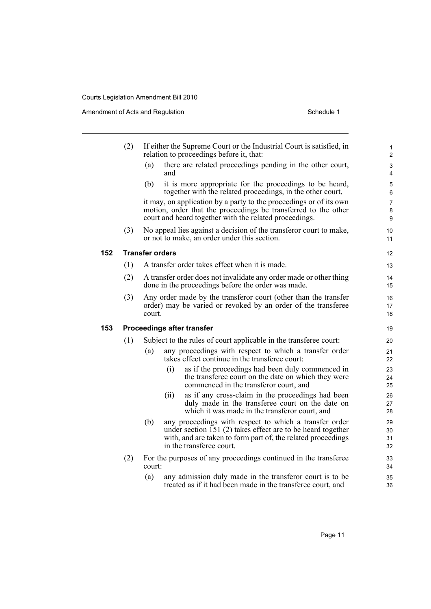Amendment of Acts and Regulation Schedule 1

**152 Transfer orders**

**153** 

| (2) | If either the Supreme Court or the Industrial Court is satisfied, in<br>relation to proceedings before it, that:                                                                                                         | 1<br>2                   |
|-----|--------------------------------------------------------------------------------------------------------------------------------------------------------------------------------------------------------------------------|--------------------------|
|     | there are related proceedings pending in the other court,<br>(a)<br>and                                                                                                                                                  | 3<br>4                   |
|     | (b)<br>it is more appropriate for the proceedings to be heard,<br>together with the related proceedings, in the other court,                                                                                             | 5<br>6                   |
|     | it may, on application by a party to the proceedings or of its own<br>motion, order that the proceedings be transferred to the other<br>court and heard together with the related proceedings.                           | $\overline{7}$<br>8<br>9 |
| (3) | No appeal lies against a decision of the transferor court to make,<br>or not to make, an order under this section.                                                                                                       | 10<br>11                 |
|     | <b>Transfer orders</b>                                                                                                                                                                                                   | 12                       |
| (1) | A transfer order takes effect when it is made.                                                                                                                                                                           | 13                       |
| (2) | A transfer order does not invalidate any order made or other thing<br>done in the proceedings before the order was made.                                                                                                 | 14<br>15                 |
| (3) | Any order made by the transferor court (other than the transfer<br>order) may be varied or revoked by an order of the transferee<br>court.                                                                               | 16<br>17<br>18           |
|     | <b>Proceedings after transfer</b>                                                                                                                                                                                        | 19                       |
| (1) | Subject to the rules of court applicable in the transferee court:                                                                                                                                                        | 20                       |
|     | any proceedings with respect to which a transfer order<br>(a)<br>takes effect continue in the transferee court:                                                                                                          | 21<br>22                 |
|     | as if the proceedings had been duly commenced in<br>(i)<br>the transferee court on the date on which they were<br>commenced in the transferor court, and                                                                 | 23<br>24<br>25           |
|     | as if any cross-claim in the proceedings had been<br>(ii)<br>duly made in the transferee court on the date on<br>which it was made in the transferor court, and                                                          | 26<br>27<br>28           |
|     | (b)<br>any proceedings with respect to which a transfer order<br>under section 151 (2) takes effect are to be heard together<br>with, and are taken to form part of, the related proceedings<br>in the transferee court. | 29<br>30<br>31<br>32     |
| (2) | For the purposes of any proceedings continued in the transferee<br>court:                                                                                                                                                | 33<br>34                 |
|     | any admission duly made in the transferor court is to be<br>(a)<br>treated as if it had been made in the transferee court, and                                                                                           | 35<br>36                 |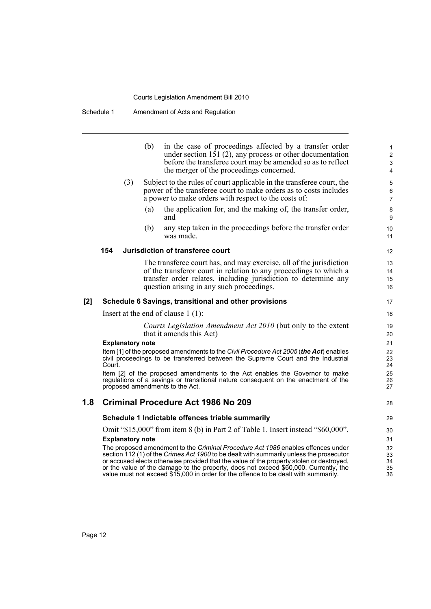Schedule 1 Amendment of Acts and Regulation

|       |        |                         | (b) | in the case of proceedings affected by a transfer order<br>under section 151 $(2)$ , any process or other documentation<br>before the transferee court may be amended so as to reflect<br>the merger of the proceedings concerned.                                                                                                                                                                                                                     | $\mathbf{1}$<br>$\overline{2}$<br>$\mathfrak{S}$<br>4 |
|-------|--------|-------------------------|-----|--------------------------------------------------------------------------------------------------------------------------------------------------------------------------------------------------------------------------------------------------------------------------------------------------------------------------------------------------------------------------------------------------------------------------------------------------------|-------------------------------------------------------|
|       |        | (3)                     |     | Subject to the rules of court applicable in the transferee court, the<br>power of the transferee court to make orders as to costs includes<br>a power to make orders with respect to the costs of:                                                                                                                                                                                                                                                     | 5<br>$\,6\,$<br>$\overline{7}$                        |
|       |        |                         | (a) | the application for, and the making of, the transfer order,<br>and                                                                                                                                                                                                                                                                                                                                                                                     | 8<br>9                                                |
|       |        |                         | (b) | any step taken in the proceedings before the transfer order<br>was made.                                                                                                                                                                                                                                                                                                                                                                               | 10<br>11                                              |
|       | 154    |                         |     | Jurisdiction of transferee court                                                                                                                                                                                                                                                                                                                                                                                                                       | 12                                                    |
|       |        |                         |     | The transferee court has, and may exercise, all of the jurisdiction<br>of the transferor court in relation to any proceedings to which a<br>transfer order relates, including jurisdiction to determine any<br>question arising in any such proceedings.                                                                                                                                                                                               | 13<br>14<br>15<br>16                                  |
| $[2]$ |        |                         |     | Schedule 6 Savings, transitional and other provisions                                                                                                                                                                                                                                                                                                                                                                                                  | 17                                                    |
|       |        |                         |     | Insert at the end of clause $1(1)$ :                                                                                                                                                                                                                                                                                                                                                                                                                   | 18                                                    |
|       |        |                         |     | Courts Legislation Amendment Act 2010 (but only to the extent<br>that it amends this Act)                                                                                                                                                                                                                                                                                                                                                              | 19<br>20                                              |
|       |        | <b>Explanatory note</b> |     |                                                                                                                                                                                                                                                                                                                                                                                                                                                        | 21                                                    |
|       | Court. |                         |     | Item [1] of the proposed amendments to the Civil Procedure Act 2005 (the Act) enables<br>civil proceedings to be transferred between the Supreme Court and the Industrial                                                                                                                                                                                                                                                                              | 22<br>23<br>24                                        |
|       |        |                         |     | Item [2] of the proposed amendments to the Act enables the Governor to make<br>regulations of a savings or transitional nature consequent on the enactment of the<br>proposed amendments to the Act.                                                                                                                                                                                                                                                   | 25<br>26<br>27                                        |
| 1.8   |        |                         |     | <b>Criminal Procedure Act 1986 No 209</b>                                                                                                                                                                                                                                                                                                                                                                                                              | 28                                                    |
|       |        |                         |     | Schedule 1 Indictable offences triable summarily                                                                                                                                                                                                                                                                                                                                                                                                       | 29                                                    |
|       |        |                         |     | Omit "\$15,000" from item 8 (b) in Part 2 of Table 1. Insert instead "\$60,000".                                                                                                                                                                                                                                                                                                                                                                       | 30                                                    |
|       |        | <b>Explanatory note</b> |     |                                                                                                                                                                                                                                                                                                                                                                                                                                                        | 31                                                    |
|       |        |                         |     | The proposed amendment to the Criminal Procedure Act 1986 enables offences under<br>section 112 (1) of the Crimes Act 1900 to be dealt with summarily unless the prosecutor<br>or accused elects otherwise provided that the value of the property stolen or destroyed,<br>or the value of the damage to the property, does not exceed \$60,000. Currently, the<br>value must not exceed \$15,000 in order for the offence to be dealt with summarily. | 32<br>33<br>34<br>35<br>36                            |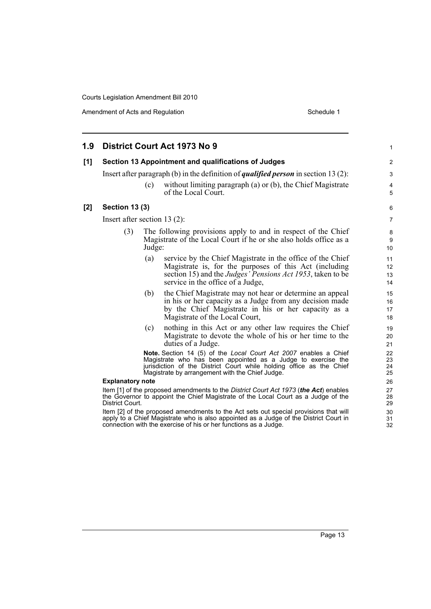| 1.9 |                                                                                                                                                                                              |        | District Court Act 1973 No 9                                                                                                                                                                                                                                       | 1                    |  |
|-----|----------------------------------------------------------------------------------------------------------------------------------------------------------------------------------------------|--------|--------------------------------------------------------------------------------------------------------------------------------------------------------------------------------------------------------------------------------------------------------------------|----------------------|--|
| [1] |                                                                                                                                                                                              |        | Section 13 Appointment and qualifications of Judges                                                                                                                                                                                                                | $\overline{2}$       |  |
|     |                                                                                                                                                                                              |        | Insert after paragraph (b) in the definition of <i>qualified person</i> in section 13 (2):                                                                                                                                                                         | 3                    |  |
|     |                                                                                                                                                                                              | (c)    | without limiting paragraph (a) or (b), the Chief Magistrate<br>of the Local Court.                                                                                                                                                                                 | 4<br>5               |  |
| [2] | <b>Section 13 (3)</b>                                                                                                                                                                        |        |                                                                                                                                                                                                                                                                    | 6                    |  |
|     | Insert after section 13 $(2)$ :                                                                                                                                                              |        |                                                                                                                                                                                                                                                                    | $\overline{7}$       |  |
|     | (3)                                                                                                                                                                                          | Judge: | The following provisions apply to and in respect of the Chief<br>Magistrate of the Local Court if he or she also holds office as a                                                                                                                                 | 8<br>9<br>10         |  |
|     |                                                                                                                                                                                              | (a)    | service by the Chief Magistrate in the office of the Chief<br>Magistrate is, for the purposes of this Act (including<br>section 15) and the <i>Judges' Pensions Act 1953</i> , taken to be<br>service in the office of a Judge,                                    | 11<br>12<br>13<br>14 |  |
|     |                                                                                                                                                                                              | (b)    | the Chief Magistrate may not hear or determine an appeal<br>in his or her capacity as a Judge from any decision made<br>by the Chief Magistrate in his or her capacity as a<br>Magistrate of the Local Court,                                                      | 15<br>16<br>17<br>18 |  |
|     |                                                                                                                                                                                              | (c)    | nothing in this Act or any other law requires the Chief<br>Magistrate to devote the whole of his or her time to the<br>duties of a Judge.                                                                                                                          | 19<br>20<br>21       |  |
|     |                                                                                                                                                                                              |        | <b>Note.</b> Section 14 (5) of the Local Court Act 2007 enables a Chief<br>Magistrate who has been appointed as a Judge to exercise the<br>jurisdiction of the District Court while holding office as the Chief<br>Magistrate by arrangement with the Chief Judge. | 22<br>23<br>24<br>25 |  |
|     | <b>Explanatory note</b>                                                                                                                                                                      |        |                                                                                                                                                                                                                                                                    |                      |  |
|     | Item [1] of the proposed amendments to the District Court Act 1973 (the Act) enables<br>the Governor to appoint the Chief Magistrate of the Local Court as a Judge of the<br>District Court. |        |                                                                                                                                                                                                                                                                    |                      |  |
|     |                                                                                                                                                                                              |        | Item [2] of the proposed amendments to the Act sets out special provisions that will<br>apply to a Chief Magistrate who is also appointed as a Judge of the District Court in<br>connection with the exercise of his or her functions as a Judge.                  | 30<br>31<br>32       |  |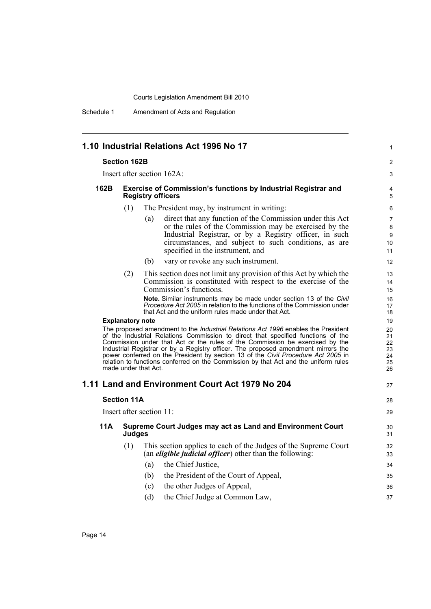Schedule 1 Amendment of Acts and Regulation

|                         |                                                                                                   | 1.10 Industrial Relations Act 1996 No 17                                                                                                                                                                                                                                                                                                                                                                                                                                                                                                              | 1                                      |
|-------------------------|---------------------------------------------------------------------------------------------------|-------------------------------------------------------------------------------------------------------------------------------------------------------------------------------------------------------------------------------------------------------------------------------------------------------------------------------------------------------------------------------------------------------------------------------------------------------------------------------------------------------------------------------------------------------|----------------------------------------|
|                         | <b>Section 162B</b>                                                                               |                                                                                                                                                                                                                                                                                                                                                                                                                                                                                                                                                       | 2                                      |
|                         |                                                                                                   | Insert after section 162A:                                                                                                                                                                                                                                                                                                                                                                                                                                                                                                                            | 3                                      |
| 162B                    | <b>Exercise of Commission's functions by Industrial Registrar and</b><br><b>Registry officers</b> |                                                                                                                                                                                                                                                                                                                                                                                                                                                                                                                                                       |                                        |
|                         | (1)                                                                                               | The President may, by instrument in writing:                                                                                                                                                                                                                                                                                                                                                                                                                                                                                                          | 6                                      |
|                         |                                                                                                   | direct that any function of the Commission under this Act<br>(a)<br>or the rules of the Commission may be exercised by the<br>Industrial Registrar, or by a Registry officer, in such<br>circumstances, and subject to such conditions, as are<br>specified in the instrument, and                                                                                                                                                                                                                                                                    | 7<br>8<br>9<br>10<br>11                |
|                         |                                                                                                   | (b)<br>vary or revoke any such instrument.                                                                                                                                                                                                                                                                                                                                                                                                                                                                                                            | 12                                     |
|                         | (2)                                                                                               | This section does not limit any provision of this Act by which the<br>Commission is constituted with respect to the exercise of the<br>Commission's functions.                                                                                                                                                                                                                                                                                                                                                                                        | 13<br>14<br>15                         |
|                         |                                                                                                   | <b>Note.</b> Similar instruments may be made under section 13 of the Civil<br><i>Procedure Act 2005</i> in relation to the functions of the Commission under<br>that Act and the uniform rules made under that Act.                                                                                                                                                                                                                                                                                                                                   | 16<br>17<br>18                         |
| <b>Explanatory note</b> |                                                                                                   |                                                                                                                                                                                                                                                                                                                                                                                                                                                                                                                                                       | 19                                     |
|                         |                                                                                                   | The proposed amendment to the <i>Industrial Relations Act 1996</i> enables the President<br>of the Industrial Relations Commission to direct that specified functions of the<br>Commission under that Act or the rules of the Commission be exercised by the<br>Industrial Registrar or by a Registry officer. The proposed amendment mirrors the<br>power conferred on the President by section 13 of the Civil Procedure Act 2005 in<br>relation to functions conferred on the Commission by that Act and the uniform rules<br>made under that Act. | 20<br>21<br>22<br>23<br>24<br>25<br>26 |
|                         |                                                                                                   | 1.11 Land and Environment Court Act 1979 No 204                                                                                                                                                                                                                                                                                                                                                                                                                                                                                                       | 27                                     |
|                         | <b>Section 11A</b>                                                                                |                                                                                                                                                                                                                                                                                                                                                                                                                                                                                                                                                       | 28                                     |
|                         |                                                                                                   | Insert after section 11:                                                                                                                                                                                                                                                                                                                                                                                                                                                                                                                              | 29                                     |
| 11A                     | Judges                                                                                            | Supreme Court Judges may act as Land and Environment Court                                                                                                                                                                                                                                                                                                                                                                                                                                                                                            | 30<br>31                               |
|                         | (1)                                                                                               | This section applies to each of the Judges of the Supreme Court<br>(an <i>eligible judicial officer</i> ) other than the following:<br>the Chief Justice,<br>(a)                                                                                                                                                                                                                                                                                                                                                                                      | 32<br>33<br>34                         |
|                         |                                                                                                   | the President of the Court of Appeal,<br>(b)                                                                                                                                                                                                                                                                                                                                                                                                                                                                                                          | 35                                     |
|                         |                                                                                                   | (c)<br>the other Judges of Appeal,                                                                                                                                                                                                                                                                                                                                                                                                                                                                                                                    | 36                                     |
|                         |                                                                                                   | (d)<br>the Chief Judge at Common Law,                                                                                                                                                                                                                                                                                                                                                                                                                                                                                                                 | 37                                     |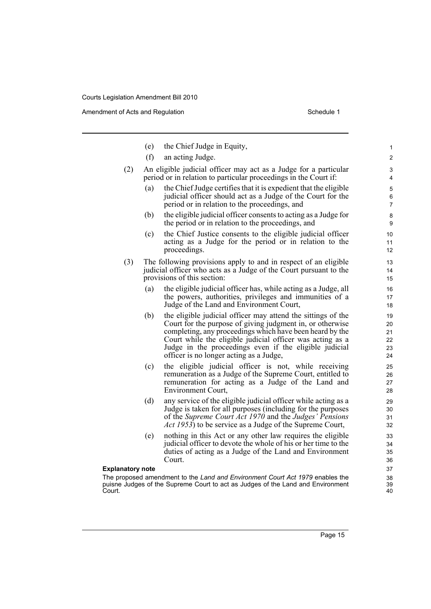|        | (e)                     | the Chief Judge in Equity,                                                                                                                                                                                                                                                                                                                              | $\mathbf{1}$                     |  |  |
|--------|-------------------------|---------------------------------------------------------------------------------------------------------------------------------------------------------------------------------------------------------------------------------------------------------------------------------------------------------------------------------------------------------|----------------------------------|--|--|
|        | (f)                     | an acting Judge.                                                                                                                                                                                                                                                                                                                                        | 2                                |  |  |
| (2)    |                         | An eligible judicial officer may act as a Judge for a particular<br>period or in relation to particular proceedings in the Court if:                                                                                                                                                                                                                    | 3<br>4                           |  |  |
|        | (a)                     | the Chief Judge certifies that it is expedient that the eligible<br>judicial officer should act as a Judge of the Court for the<br>period or in relation to the proceedings, and                                                                                                                                                                        | 5<br>6<br>$\overline{7}$         |  |  |
|        | (b)                     | the eligible judicial officer consents to acting as a Judge for<br>the period or in relation to the proceedings, and                                                                                                                                                                                                                                    | 8<br>9                           |  |  |
|        | (c)                     | the Chief Justice consents to the eligible judicial officer<br>acting as a Judge for the period or in relation to the<br>proceedings.                                                                                                                                                                                                                   | 10<br>11<br>$12 \overline{ }$    |  |  |
| (3)    |                         | The following provisions apply to and in respect of an eligible<br>judicial officer who acts as a Judge of the Court pursuant to the<br>provisions of this section:                                                                                                                                                                                     | 13<br>14<br>15                   |  |  |
|        | (a)                     | the eligible judicial officer has, while acting as a Judge, all<br>the powers, authorities, privileges and immunities of a<br>Judge of the Land and Environment Court,                                                                                                                                                                                  | 16<br>17<br>18                   |  |  |
|        | (b)                     | the eligible judicial officer may attend the sittings of the<br>Court for the purpose of giving judgment in, or otherwise<br>completing, any proceedings which have been heard by the<br>Court while the eligible judicial officer was acting as a<br>Judge in the proceedings even if the eligible judicial<br>officer is no longer acting as a Judge, | 19<br>20<br>21<br>22<br>23<br>24 |  |  |
|        | (c)                     | the eligible judicial officer is not, while receiving<br>remuneration as a Judge of the Supreme Court, entitled to<br>remuneration for acting as a Judge of the Land and<br><b>Environment Court,</b>                                                                                                                                                   | 25<br>26<br>27<br>28             |  |  |
|        | (d)                     | any service of the eligible judicial officer while acting as a<br>Judge is taken for all purposes (including for the purposes<br>of the Supreme Court Act 1970 and the Judges' Pensions<br><i>Act 1953</i> ) to be service as a Judge of the Supreme Court,                                                                                             | 29<br>30<br>31<br>32             |  |  |
|        | (e)                     | nothing in this Act or any other law requires the eligible<br>judicial officer to devote the whole of his or her time to the<br>duties of acting as a Judge of the Land and Environment<br>Court.                                                                                                                                                       | 33<br>34<br>35<br>36             |  |  |
|        | <b>Explanatory note</b> |                                                                                                                                                                                                                                                                                                                                                         |                                  |  |  |
| Court. |                         | The proposed amendment to the Land and Environment Court Act 1979 enables the<br>puisne Judges of the Supreme Court to act as Judges of the Land and Environment                                                                                                                                                                                        | 38<br>39<br>40                   |  |  |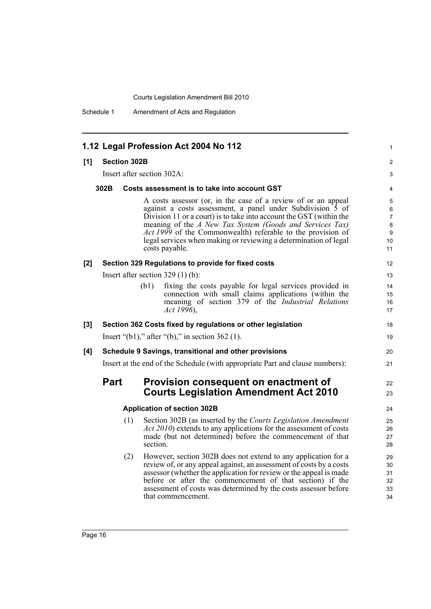Schedule 1 Amendment of Acts and Regulation

|     |                                                                               | 1.12 Legal Profession Act 2004 No 112                                                                                                                                                                                                                                                                                                                                                                                      | $\mathbf{1}$                      |  |  |
|-----|-------------------------------------------------------------------------------|----------------------------------------------------------------------------------------------------------------------------------------------------------------------------------------------------------------------------------------------------------------------------------------------------------------------------------------------------------------------------------------------------------------------------|-----------------------------------|--|--|
| [1] | <b>Section 302B</b>                                                           |                                                                                                                                                                                                                                                                                                                                                                                                                            | $\overline{c}$                    |  |  |
|     |                                                                               | Insert after section 302A:                                                                                                                                                                                                                                                                                                                                                                                                 | 3                                 |  |  |
|     | 302B                                                                          | Costs assessment is to take into account GST                                                                                                                                                                                                                                                                                                                                                                               | 4                                 |  |  |
|     |                                                                               | A costs assessor (or, in the case of a review of or an appeal<br>against a costs assessment, a panel under Subdivision 5 of<br>Division 11 or a court) is to take into account the GST (within the<br>meaning of the A New Tax System (Goods and Services Tax)<br><i>Act 1999</i> of the Commonwealth) referable to the provision of<br>legal services when making or reviewing a determination of legal<br>costs payable. | 5<br>6<br>7<br>8<br>9<br>10<br>11 |  |  |
| [2] |                                                                               | Section 329 Regulations to provide for fixed costs                                                                                                                                                                                                                                                                                                                                                                         | 12                                |  |  |
|     |                                                                               | Insert after section $329(1)(b)$ :                                                                                                                                                                                                                                                                                                                                                                                         | 13                                |  |  |
|     |                                                                               | (b1)<br>fixing the costs payable for legal services provided in<br>connection with small claims applications (within the<br>meaning of section 379 of the <i>Industrial Relations</i><br>Act 1996),                                                                                                                                                                                                                        | 14<br>15<br>16<br>17              |  |  |
| [3] |                                                                               | Section 362 Costs fixed by regulations or other legislation                                                                                                                                                                                                                                                                                                                                                                | 18                                |  |  |
|     |                                                                               | Insert " $(b1)$ ," after " $(b)$ ," in section 362 (1).                                                                                                                                                                                                                                                                                                                                                                    | 19                                |  |  |
| [4] | Schedule 9 Savings, transitional and other provisions                         |                                                                                                                                                                                                                                                                                                                                                                                                                            |                                   |  |  |
|     | Insert at the end of the Schedule (with appropriate Part and clause numbers): |                                                                                                                                                                                                                                                                                                                                                                                                                            |                                   |  |  |
|     | <b>Part</b>                                                                   | Provision consequent on enactment of<br><b>Courts Legislation Amendment Act 2010</b>                                                                                                                                                                                                                                                                                                                                       | 22<br>23                          |  |  |
|     |                                                                               | <b>Application of section 302B</b>                                                                                                                                                                                                                                                                                                                                                                                         | 24                                |  |  |
|     | (1)                                                                           | Section 302B (as inserted by the Courts Legislation Amendment<br><i>Act 2010</i> ) extends to any applications for the assessment of costs<br>made (but not determined) before the commencement of that<br>section.                                                                                                                                                                                                        | 25<br>26<br>27<br>28              |  |  |
|     | (2)                                                                           | However, section 302B does not extend to any application for a<br>review of, or any appeal against, an assessment of costs by a costs<br>assessor (whether the application for review or the appeal is made<br>before or after the commencement of that section) if the<br>assessment of costs was determined by the costs assessor before                                                                                 | 29<br>30<br>31<br>32<br>33        |  |  |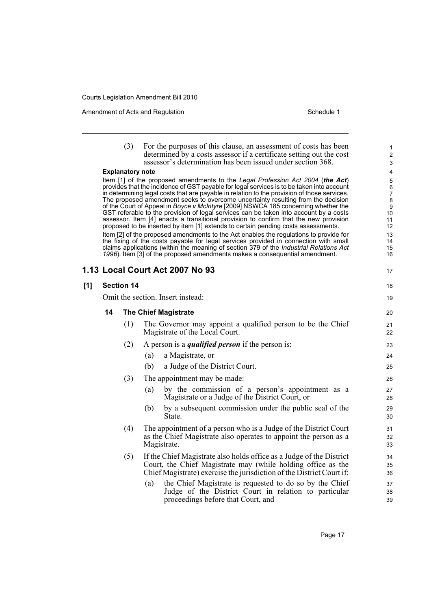|     |                   | (3)                     | For the purposes of this clause, an assessment of costs has been<br>determined by a costs assessor if a certificate setting out the cost<br>assessor's determination has been issued under section 368.                                                                                                                                                                                                                                                                                                                                                                                                                                                                                                                    | $\mathbf{1}$<br>2<br>3                                     |
|-----|-------------------|-------------------------|----------------------------------------------------------------------------------------------------------------------------------------------------------------------------------------------------------------------------------------------------------------------------------------------------------------------------------------------------------------------------------------------------------------------------------------------------------------------------------------------------------------------------------------------------------------------------------------------------------------------------------------------------------------------------------------------------------------------------|------------------------------------------------------------|
|     |                   | <b>Explanatory note</b> |                                                                                                                                                                                                                                                                                                                                                                                                                                                                                                                                                                                                                                                                                                                            | 4                                                          |
|     |                   |                         | Item [1] of the proposed amendments to the Legal Profession Act 2004 (the Act)<br>provides that the incidence of GST payable for legal services is to be taken into account<br>in determining legal costs that are payable in relation to the provision of those services.<br>The proposed amendment seeks to overcome uncertainty resulting from the decision<br>of the Court of Appeal in Boyce v McIntyre [2009] NSWCA 185 concerning whether the<br>GST referable to the provision of legal services can be taken into account by a costs<br>assessor. Item [4] enacts a transitional provision to confirm that the new provision<br>proposed to be inserted by item [1] extends to certain pending costs assessments. | 5<br>$\,6\,$<br>$\overline{7}$<br>8<br>9<br>10<br>11<br>12 |
|     |                   |                         | Item [2] of the proposed amendments to the Act enables the regulations to provide for<br>the fixing of the costs payable for legal services provided in connection with small<br>claims applications (within the meaning of section 379 of the Industrial Relations Act<br>1996). Item [3] of the proposed amendments makes a consequential amendment.                                                                                                                                                                                                                                                                                                                                                                     | 13<br>14<br>15<br>16                                       |
|     |                   |                         | 1.13 Local Court Act 2007 No 93                                                                                                                                                                                                                                                                                                                                                                                                                                                                                                                                                                                                                                                                                            | 17                                                         |
| [1] | <b>Section 14</b> |                         |                                                                                                                                                                                                                                                                                                                                                                                                                                                                                                                                                                                                                                                                                                                            | 18                                                         |
|     |                   |                         | Omit the section. Insert instead:                                                                                                                                                                                                                                                                                                                                                                                                                                                                                                                                                                                                                                                                                          | 19                                                         |
|     | 14                |                         | <b>The Chief Magistrate</b>                                                                                                                                                                                                                                                                                                                                                                                                                                                                                                                                                                                                                                                                                                | 20                                                         |
|     |                   | (1)                     | The Governor may appoint a qualified person to be the Chief<br>Magistrate of the Local Court.                                                                                                                                                                                                                                                                                                                                                                                                                                                                                                                                                                                                                              | 21<br>22                                                   |
|     |                   | (2)                     | A person is a <i>qualified person</i> if the person is:                                                                                                                                                                                                                                                                                                                                                                                                                                                                                                                                                                                                                                                                    | 23                                                         |
|     |                   |                         | (a)<br>a Magistrate, or                                                                                                                                                                                                                                                                                                                                                                                                                                                                                                                                                                                                                                                                                                    | 24                                                         |
|     |                   |                         | (b)<br>a Judge of the District Court.                                                                                                                                                                                                                                                                                                                                                                                                                                                                                                                                                                                                                                                                                      | 25                                                         |
|     |                   | (3)                     | The appointment may be made:                                                                                                                                                                                                                                                                                                                                                                                                                                                                                                                                                                                                                                                                                               | 26                                                         |
|     |                   |                         | by the commission of a person's appointment as a<br>(a)<br>Magistrate or a Judge of the District Court, or                                                                                                                                                                                                                                                                                                                                                                                                                                                                                                                                                                                                                 | 27<br>28                                                   |
|     |                   |                         | by a subsequent commission under the public seal of the<br>(b)<br>State.                                                                                                                                                                                                                                                                                                                                                                                                                                                                                                                                                                                                                                                   | 29<br>30                                                   |
|     |                   | (4)                     | The appointment of a person who is a Judge of the District Court<br>as the Chief Magistrate also operates to appoint the person as a<br>Magistrate.                                                                                                                                                                                                                                                                                                                                                                                                                                                                                                                                                                        | 31<br>32<br>33                                             |
|     |                   | (5)                     | If the Chief Magistrate also holds office as a Judge of the District<br>Court, the Chief Magistrate may (while holding office as the<br>Chief Magistrate) exercise the jurisdiction of the District Court if:                                                                                                                                                                                                                                                                                                                                                                                                                                                                                                              | 34<br>35<br>36                                             |
|     |                   |                         | the Chief Magistrate is requested to do so by the Chief<br>(a)<br>Judge of the District Court in relation to particular<br>proceedings before that Court, and                                                                                                                                                                                                                                                                                                                                                                                                                                                                                                                                                              | 37<br>38<br>39                                             |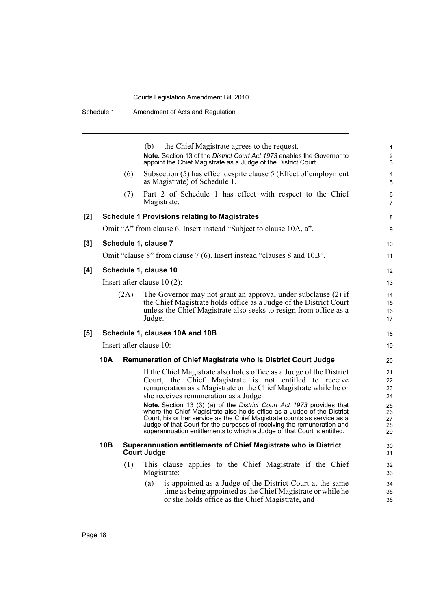|       | Schedule 1 |      | Amendment of Acts and Regulation                                                                                                                                                                                                                                                                                                                                                                                                                                                                                                                                                                                                 |                                                    |
|-------|------------|------|----------------------------------------------------------------------------------------------------------------------------------------------------------------------------------------------------------------------------------------------------------------------------------------------------------------------------------------------------------------------------------------------------------------------------------------------------------------------------------------------------------------------------------------------------------------------------------------------------------------------------------|----------------------------------------------------|
|       |            |      | (b)<br>the Chief Magistrate agrees to the request.<br>Note. Section 13 of the District Court Act 1973 enables the Governor to<br>appoint the Chief Magistrate as a Judge of the District Court.                                                                                                                                                                                                                                                                                                                                                                                                                                  | $\mathbf{1}$<br>$\overline{c}$<br>3                |
|       |            | (6)  | Subsection (5) has effect despite clause 5 (Effect of employment<br>as Magistrate) of Schedule 1.                                                                                                                                                                                                                                                                                                                                                                                                                                                                                                                                | 4<br>5                                             |
|       |            | (7)  | Part 2 of Schedule 1 has effect with respect to the Chief<br>Magistrate.                                                                                                                                                                                                                                                                                                                                                                                                                                                                                                                                                         | 6<br>$\overline{7}$                                |
| $[2]$ |            |      | <b>Schedule 1 Provisions relating to Magistrates</b>                                                                                                                                                                                                                                                                                                                                                                                                                                                                                                                                                                             | 8                                                  |
|       |            |      | Omit "A" from clause 6. Insert instead "Subject to clause 10A, a".                                                                                                                                                                                                                                                                                                                                                                                                                                                                                                                                                               | 9                                                  |
| [3]   |            |      | Schedule 1, clause 7                                                                                                                                                                                                                                                                                                                                                                                                                                                                                                                                                                                                             | 10                                                 |
|       |            |      | Omit "clause 8" from clause 7 (6). Insert instead "clauses 8 and 10B".                                                                                                                                                                                                                                                                                                                                                                                                                                                                                                                                                           | 11                                                 |
| [4]   |            |      | Schedule 1, clause 10                                                                                                                                                                                                                                                                                                                                                                                                                                                                                                                                                                                                            | 12                                                 |
|       |            |      | Insert after clause $10(2)$ :                                                                                                                                                                                                                                                                                                                                                                                                                                                                                                                                                                                                    | 13                                                 |
|       |            | (2A) | The Governor may not grant an approval under subclause (2) if<br>the Chief Magistrate holds office as a Judge of the District Court<br>unless the Chief Magistrate also seeks to resign from office as a<br>Judge.                                                                                                                                                                                                                                                                                                                                                                                                               | 14<br>15<br>16<br>17                               |
| [5]   |            |      | Schedule 1, clauses 10A and 10B                                                                                                                                                                                                                                                                                                                                                                                                                                                                                                                                                                                                  | 18                                                 |
|       |            |      | Insert after clause 10:                                                                                                                                                                                                                                                                                                                                                                                                                                                                                                                                                                                                          | 19                                                 |
|       | 10A        |      | <b>Remuneration of Chief Magistrate who is District Court Judge</b>                                                                                                                                                                                                                                                                                                                                                                                                                                                                                                                                                              | 20                                                 |
|       |            |      | If the Chief Magistrate also holds office as a Judge of the District<br>Court, the Chief Magistrate is not entitled to receive<br>remuneration as a Magistrate or the Chief Magistrate while he or<br>she receives remuneration as a Judge.<br>Note. Section 13 (3) (a) of the District Court Act 1973 provides that<br>where the Chief Magistrate also holds office as a Judge of the District<br>Court, his or her service as the Chief Magistrate counts as service as a<br>Judge of that Court for the purposes of receiving the remuneration and<br>superannuation entitlements to which a Judge of that Court is entitled. | 21<br>22<br>23<br>24<br>25<br>26<br>27<br>28<br>29 |
|       | 10B        |      | Superannuation entitlements of Chief Magistrate who is District<br><b>Court Judge</b>                                                                                                                                                                                                                                                                                                                                                                                                                                                                                                                                            | 30<br>31                                           |
|       |            | (1)  | This clause applies to the Chief Magistrate if the Chief<br>Magistrate:                                                                                                                                                                                                                                                                                                                                                                                                                                                                                                                                                          | 32<br>33                                           |
|       |            |      | is appointed as a Judge of the District Court at the same<br>(a)<br>time as being appointed as the Chief Magistrate or while he<br>or she holds office as the Chief Magistrate, and                                                                                                                                                                                                                                                                                                                                                                                                                                              | 34<br>35<br>36                                     |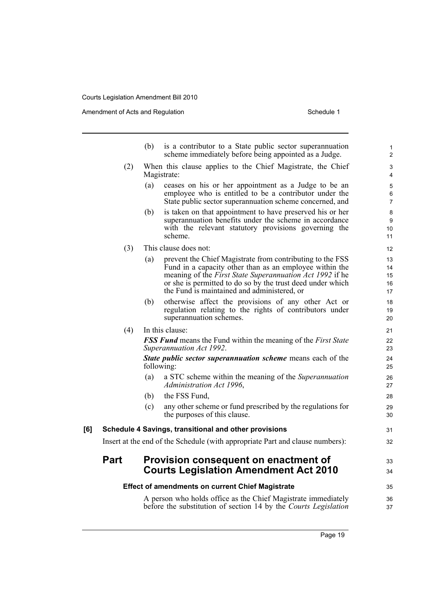|     |      | (b)                                 | is a contributor to a State public sector superannuation<br>scheme immediately before being appointed as a Judge.                                                                                                                                                                                    | $\mathbf{1}$<br>$\overline{2}$ |
|-----|------|-------------------------------------|------------------------------------------------------------------------------------------------------------------------------------------------------------------------------------------------------------------------------------------------------------------------------------------------------|--------------------------------|
|     | (2)  | Magistrate:                         | When this clause applies to the Chief Magistrate, the Chief                                                                                                                                                                                                                                          | 3<br>4                         |
|     |      | (a)                                 | ceases on his or her appointment as a Judge to be an<br>employee who is entitled to be a contributor under the<br>State public sector superannuation scheme concerned, and                                                                                                                           | 5<br>6<br>$\overline{7}$       |
|     |      | (b)<br>scheme.                      | is taken on that appointment to have preserved his or her<br>superannuation benefits under the scheme in accordance<br>with the relevant statutory provisions governing the                                                                                                                          | 8<br>9<br>10<br>11             |
|     | (3)  | This clause does not:               |                                                                                                                                                                                                                                                                                                      | 12                             |
|     |      | (a)                                 | prevent the Chief Magistrate from contributing to the FSS<br>Fund in a capacity other than as an employee within the<br>meaning of the <i>First State Superannuation Act 1992</i> if he<br>or she is permitted to do so by the trust deed under which<br>the Fund is maintained and administered, or | 13<br>14<br>15<br>16<br>17     |
|     |      | (b)<br>superannuation schemes.      | otherwise affect the provisions of any other Act or<br>regulation relating to the rights of contributors under                                                                                                                                                                                       | 18<br>19<br>20                 |
|     | (4)  | In this clause:                     |                                                                                                                                                                                                                                                                                                      | 21                             |
|     |      | Superannuation Act 1992.            | <b>FSS Fund</b> means the Fund within the meaning of the First State                                                                                                                                                                                                                                 | 22<br>23                       |
|     |      | following:                          | <b>State public sector superannuation scheme</b> means each of the                                                                                                                                                                                                                                   | 24<br>25                       |
|     |      | (a)<br>Administration Act 1996,     | a STC scheme within the meaning of the Superannuation                                                                                                                                                                                                                                                | 26<br>27                       |
|     |      | the FSS Fund,<br>(b)                |                                                                                                                                                                                                                                                                                                      | 28                             |
|     |      | (c)<br>the purposes of this clause. | any other scheme or fund prescribed by the regulations for                                                                                                                                                                                                                                           | 29<br>30                       |
| [6] |      |                                     | Schedule 4 Savings, transitional and other provisions                                                                                                                                                                                                                                                | 31                             |
|     |      |                                     | Insert at the end of the Schedule (with appropriate Part and clause numbers):                                                                                                                                                                                                                        | 32                             |
|     | Part |                                     | Provision consequent on enactment of                                                                                                                                                                                                                                                                 | 33                             |
|     |      |                                     | <b>Courts Legislation Amendment Act 2010</b>                                                                                                                                                                                                                                                         | 34                             |
|     |      |                                     | <b>Effect of amendments on current Chief Magistrate</b>                                                                                                                                                                                                                                              | 35                             |
|     |      |                                     | A person who holds office as the Chief Magistrate immediately<br>before the substitution of section 14 by the Courts Legislation                                                                                                                                                                     | 36<br>37                       |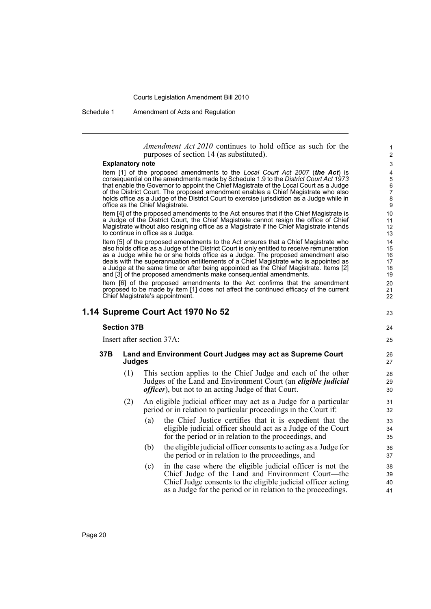Schedule 1 Amendment of Acts and Regulation

*Amendment Act 2010* continues to hold office as such for the purposes of section 14 (as substituted).

23

24 25

#### **Explanatory note**

Item [1] of the proposed amendments to the *Local Court Act 2007* (*the Act*) is consequential on the amendments made by Schedule 1.9 to the *District Court Act 1973* that enable the Governor to appoint the Chief Magistrate of the Local Court as a Judge of the District Court. The proposed amendment enables a Chief Magistrate who also holds office as a Judge of the District Court to exercise jurisdiction as a Judge while in office as the Chief Magistrate.

Item [4] of the proposed amendments to the Act ensures that if the Chief Magistrate is a Judge of the District Court, the Chief Magistrate cannot resign the office of Chief Magistrate without also resigning office as a Magistrate if the Chief Magistrate intends to continue in office as a Judge.

Item [5] of the proposed amendments to the Act ensures that a Chief Magistrate who also holds office as a Judge of the District Court is only entitled to receive remuneration as a Judge while he or she holds office as a Judge. The proposed amendment also deals with the superannuation entitlements of a Chief Magistrate who is appointed as a Judge at the same time or after being appointed as the Chief Magistrate. Items [2] and [3] of the proposed amendments make consequential amendments.

Item [6] of the proposed amendments to the Act confirms that the amendment proposed to be made by item [1] does not affect the continued efficacy of the current Chief Magistrate's appointment.

## **1.14 Supreme Court Act 1970 No 52**

### **Section 37B**

Insert after section 37A:

### **37B Land and Environment Court Judges may act as Supreme Court Judges**

- (1) This section applies to the Chief Judge and each of the other Judges of the Land and Environment Court (an *eligible judicial officer*), but not to an acting Judge of that Court.
- (2) An eligible judicial officer may act as a Judge for a particular period or in relation to particular proceedings in the Court if:
	- (a) the Chief Justice certifies that it is expedient that the eligible judicial officer should act as a Judge of the Court for the period or in relation to the proceedings, and
	- (b) the eligible judicial officer consents to acting as a Judge for the period or in relation to the proceedings, and
	- (c) in the case where the eligible judicial officer is not the Chief Judge of the Land and Environment Court—the Chief Judge consents to the eligible judicial officer acting as a Judge for the period or in relation to the proceedings.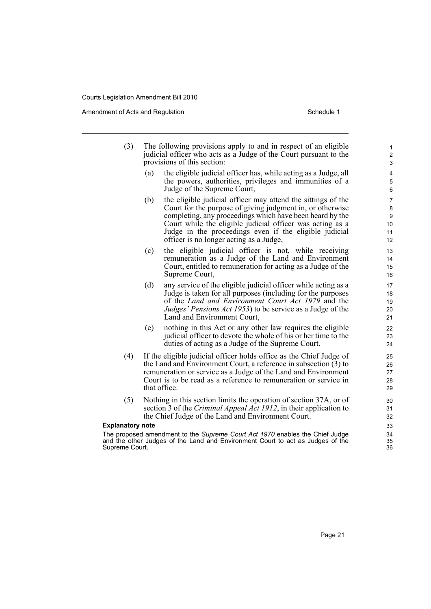Amendment of Acts and Regulation Schedule 1 and Schedule 1

- (3) The following provisions apply to and in respect of an eligible judicial officer who acts as a Judge of the Court pursuant to the provisions of this section:
	- (a) the eligible judicial officer has, while acting as a Judge, all the powers, authorities, privileges and immunities of a Judge of the Supreme Court,
	- (b) the eligible judicial officer may attend the sittings of the Court for the purpose of giving judgment in, or otherwise completing, any proceedings which have been heard by the Court while the eligible judicial officer was acting as a Judge in the proceedings even if the eligible judicial officer is no longer acting as a Judge,
	- (c) the eligible judicial officer is not, while receiving remuneration as a Judge of the Land and Environment Court, entitled to remuneration for acting as a Judge of the Supreme Court,
	- (d) any service of the eligible judicial officer while acting as a Judge is taken for all purposes (including for the purposes of the *Land and Environment Court Act 1979* and the *Judges' Pensions Act 1953*) to be service as a Judge of the Land and Environment Court,
	- (e) nothing in this Act or any other law requires the eligible judicial officer to devote the whole of his or her time to the duties of acting as a Judge of the Supreme Court.
- (4) If the eligible judicial officer holds office as the Chief Judge of the Land and Environment Court, a reference in subsection  $(3)$  to remuneration or service as a Judge of the Land and Environment Court is to be read as a reference to remuneration or service in that office.
- (5) Nothing in this section limits the operation of section 37A, or of section 3 of the *Criminal Appeal Act 1912*, in their application to the Chief Judge of the Land and Environment Court.

### **Explanatory note**

The proposed amendment to the *Supreme Court Act 1970* enables the Chief Judge and the other Judges of the Land and Environment Court to act as Judges of the Supreme Court.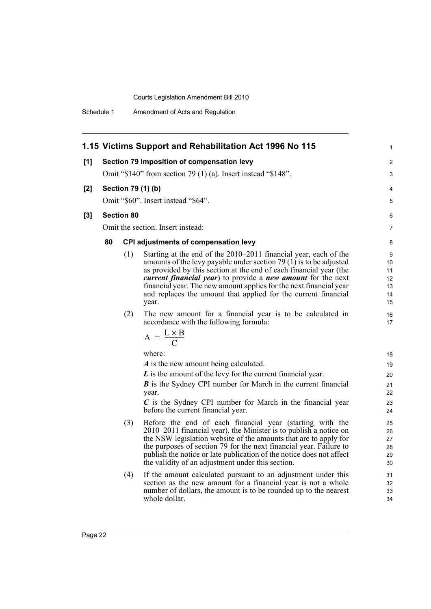Schedule 1 Amendment of Acts and Regulation

|       |    |                    | 1.15 Victims Support and Rehabilitation Act 1996 No 115                                                                                                                                                                                                                                                                                                                                                                                                                                                                                                                                                                                                                                                                                                                                                                      | $\mathbf 1$                                                                    |
|-------|----|--------------------|------------------------------------------------------------------------------------------------------------------------------------------------------------------------------------------------------------------------------------------------------------------------------------------------------------------------------------------------------------------------------------------------------------------------------------------------------------------------------------------------------------------------------------------------------------------------------------------------------------------------------------------------------------------------------------------------------------------------------------------------------------------------------------------------------------------------------|--------------------------------------------------------------------------------|
| [1]   |    |                    | Section 79 Imposition of compensation levy                                                                                                                                                                                                                                                                                                                                                                                                                                                                                                                                                                                                                                                                                                                                                                                   | $\overline{2}$                                                                 |
|       |    |                    | Omit "\$140" from section 79 (1) (a). Insert instead "\$148".                                                                                                                                                                                                                                                                                                                                                                                                                                                                                                                                                                                                                                                                                                                                                                | 3                                                                              |
| [2]   |    | Section 79 (1) (b) |                                                                                                                                                                                                                                                                                                                                                                                                                                                                                                                                                                                                                                                                                                                                                                                                                              | 4                                                                              |
|       |    |                    | Omit "\$60". Insert instead "\$64".                                                                                                                                                                                                                                                                                                                                                                                                                                                                                                                                                                                                                                                                                                                                                                                          | 5                                                                              |
| $[3]$ |    | <b>Section 80</b>  |                                                                                                                                                                                                                                                                                                                                                                                                                                                                                                                                                                                                                                                                                                                                                                                                                              | 6                                                                              |
|       |    |                    | Omit the section. Insert instead:                                                                                                                                                                                                                                                                                                                                                                                                                                                                                                                                                                                                                                                                                                                                                                                            | $\overline{7}$                                                                 |
|       |    |                    |                                                                                                                                                                                                                                                                                                                                                                                                                                                                                                                                                                                                                                                                                                                                                                                                                              |                                                                                |
|       | 80 | (1)<br>(2)         | <b>CPI adjustments of compensation levy</b><br>Starting at the end of the 2010–2011 financial year, each of the<br>amounts of the levy payable under section $79(1)$ is to be adjusted<br>as provided by this section at the end of each financial year (the<br><i>current financial year</i> ) to provide a <i>new amount</i> for the next<br>financial year. The new amount applies for the next financial year<br>and replaces the amount that applied for the current financial<br>year.<br>The new amount for a financial year is to be calculated in<br>accordance with the following formula:<br>$A = \frac{L \times B}{C}$<br>where:<br>A is the new amount being calculated.<br>L is the amount of the levy for the current financial year.<br><b>B</b> is the Sydney CPI number for March in the current financial | 8<br>9<br>10<br>11<br>12<br>13<br>14<br>15<br>16<br>17<br>18<br>19<br>20<br>21 |
|       |    |                    | year.<br>$C$ is the Sydney CPI number for March in the financial year<br>before the current financial year.                                                                                                                                                                                                                                                                                                                                                                                                                                                                                                                                                                                                                                                                                                                  | 22<br>23<br>24                                                                 |
|       |    | (3)                | Before the end of each financial year (starting with the<br>2010–2011 financial year), the Minister is to publish a notice on<br>the NSW legislation website of the amounts that are to apply for<br>the purposes of section 79 for the next financial year. Failure to<br>publish the notice or late publication of the notice does not affect<br>the validity of an adjustment under this section.                                                                                                                                                                                                                                                                                                                                                                                                                         | 25<br>26<br>27<br>28<br>29<br>30                                               |
|       |    | (4)                | If the amount calculated pursuant to an adjustment under this<br>section as the new amount for a financial year is not a whole<br>number of dollars, the amount is to be rounded up to the nearest<br>whole dollar.                                                                                                                                                                                                                                                                                                                                                                                                                                                                                                                                                                                                          | 31<br>32<br>33<br>34                                                           |
|       |    |                    |                                                                                                                                                                                                                                                                                                                                                                                                                                                                                                                                                                                                                                                                                                                                                                                                                              |                                                                                |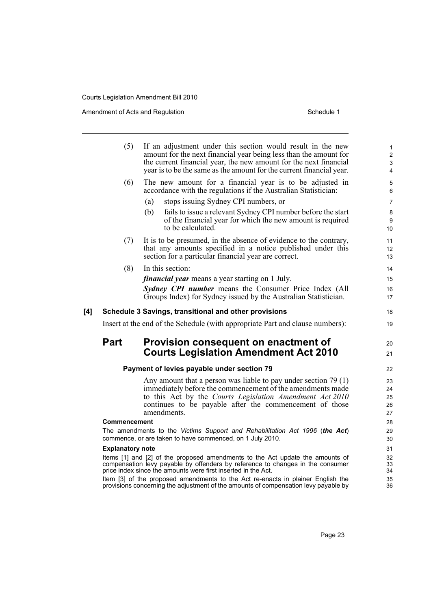|     | (5)                     | If an adjustment under this section would result in the new<br>amount for the next financial year being less than the amount for<br>the current financial year, the new amount for the next financial<br>year is to be the same as the amount for the current financial year. | 1<br>$\overline{c}$<br>3<br>4 |
|-----|-------------------------|-------------------------------------------------------------------------------------------------------------------------------------------------------------------------------------------------------------------------------------------------------------------------------|-------------------------------|
|     | (6)                     | The new amount for a financial year is to be adjusted in<br>accordance with the regulations if the Australian Statistician:                                                                                                                                                   | 5<br>6                        |
|     |                         | stops issuing Sydney CPI numbers, or<br>(a)                                                                                                                                                                                                                                   | 7                             |
|     |                         | fails to issue a relevant Sydney CPI number before the start<br>(b)<br>of the financial year for which the new amount is required<br>to be calculated.                                                                                                                        | 8<br>9<br>10                  |
|     | (7)                     | It is to be presumed, in the absence of evidence to the contrary,<br>that any amounts specified in a notice published under this<br>section for a particular financial year are correct.                                                                                      | 11<br>12<br>13                |
|     | (8)                     | In this section:                                                                                                                                                                                                                                                              | 14                            |
|     |                         | <i>financial year</i> means a year starting on 1 July.                                                                                                                                                                                                                        | 15                            |
|     |                         | <b>Sydney CPI number</b> means the Consumer Price Index (All<br>Groups Index) for Sydney issued by the Australian Statistician.                                                                                                                                               | 16<br>17                      |
| [4] |                         | Schedule 3 Savings, transitional and other provisions                                                                                                                                                                                                                         | 18                            |
|     |                         | Insert at the end of the Schedule (with appropriate Part and clause numbers):                                                                                                                                                                                                 | 19                            |
|     | Part                    | Provision consequent on enactment of<br><b>Courts Legislation Amendment Act 2010</b>                                                                                                                                                                                          | 20<br>21                      |
|     |                         | Payment of levies payable under section 79                                                                                                                                                                                                                                    | 22                            |
|     |                         | Any amount that a person was liable to pay under section $79(1)$                                                                                                                                                                                                              | 23                            |
|     |                         | immediately before the commencement of the amendments made<br>to this Act by the Courts Legislation Amendment Act 2010                                                                                                                                                        | 24<br>25                      |
|     |                         | continues to be payable after the commencement of those<br>amendments.                                                                                                                                                                                                        | 26<br>27                      |
|     | Commencement            |                                                                                                                                                                                                                                                                               | 28                            |
|     |                         | The amendments to the Victims Support and Rehabilitation Act 1996 (the Act)                                                                                                                                                                                                   | 29                            |
|     |                         | commence, or are taken to have commenced, on 1 July 2010.                                                                                                                                                                                                                     | 30                            |
|     | <b>Explanatory note</b> |                                                                                                                                                                                                                                                                               | 31                            |
|     |                         | Items [1] and [2] of the proposed amendments to the Act update the amounts of<br>compensation levy payable by offenders by reference to changes in the consumer<br>price index since the amounts were first inserted in the Act.                                              | 32<br>33<br>34                |
|     |                         | Item [3] of the proposed amendments to the Act re-enacts in plainer English the<br>provisions concerning the adjustment of the amounts of compensation levy payable by                                                                                                        | 35<br>36                      |
|     |                         |                                                                                                                                                                                                                                                                               |                               |